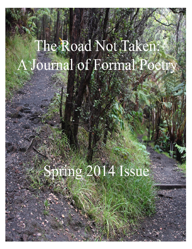# The Road Not Taken: A Journal of Formal Poetry

# Spisho 2014 Issue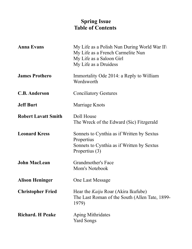# **Spring Issue Table of Contents**

| <b>Anna Evans</b>          | My Life as a Polish Nun During World War II\<br>My Life as a French Carmelite Nun<br>My Life as a Saloon Girl<br>My Life as a Druidess |
|----------------------------|----------------------------------------------------------------------------------------------------------------------------------------|
| <b>James Prothero</b>      | Immortality Ode 2014: a Reply to William<br>Wordsworth                                                                                 |
| <b>C.B. Anderson</b>       | <b>Conciliatory Gestures</b>                                                                                                           |
| <b>Jeff Burt</b>           | Marriage Knots                                                                                                                         |
| <b>Robert Lavatt Smith</b> | Doll House<br>The Wreck of the Edward (Sic) Fitzgerald                                                                                 |
| <b>Leonard Kress</b>       | Sonnets to Cynthia as if Written by Sextus<br>Propertius<br>Sonnets to Cynthia as if Written by Sextus<br>Propertius (3)               |
| <b>John MacLean</b>        | <b>Grandmother's Face</b><br>Mom's Notebook                                                                                            |
| <b>Alison Heninger</b>     | <b>One Last Message</b>                                                                                                                |
| <b>Christopher Fried</b>   | Hear the <i>Kaiju</i> Roar (Akira Ikufube)<br>The Last Roman of the South (Allen Tate, 1899-<br>1979)                                  |
| <b>Richard. H Peake</b>    | Aping Mithridates<br><b>Yard Songs</b>                                                                                                 |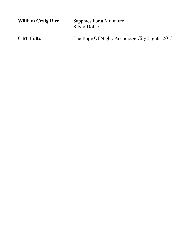| <b>William Craig Rice</b> | Sapphics For a Miniature<br>Silver Dollar      |
|---------------------------|------------------------------------------------|
| <b>C</b> M Foltz          | The Rage Of Night: Anchorage City Lights, 2013 |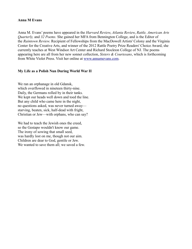#### **Anna M Evans**

Anna M. Evans' poems have appeared in the *Harvard Review*, *Atlanta Review*, *Rattle, American Arts Quarterly,* and *32 Poems.* She gained her MFA from Bennington College, and is the Editor of the *Raintown Review*. Recipient of Fellowships from the MacDowell Artists' Colony and the Virginia Center for the Creative Arts, and winner of the 2012 Rattle Poetry Prize Readers' Choice Award, she currently teaches at West Windsor Art Center and Richard Stockton College of NJ. The poems appearing here are all from her new sonnet collection, *Sisters & Courtesans*, which is forthcoming from White Violet Press. Visit her online at [www.annamevans.com.](http://www.annamevans.com/)

# **My Life as a Polish Nun During World War II**

We ran an orphanage in old Gdansk, which overflowed in nineteen thirty-nine. Daily, the Germans rolled by in their tanks. We kept our heads well down and toed the line. But any child who came here in the night, no questions asked, was never turned away starving, beaten, sick, half-dead with fright, Christian or Jew—with orphans, who can say?

We had to teach the Jewish ones the creed, so the Gestapo wouldn't know our game. The irony of sowing that small seed, was hardly lost on me, though not our aim. Children are dear to God, gentile or Jew. We wanted to save them all; we saved a few.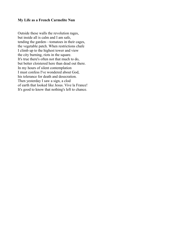#### **My Life as a French Carmelite Nun**

Outside these walls the revolution rages, but inside all is calm and I am safe, tending the garden—tomatoes in their cages, the vegetable patch. When restrictions chafe I climb up to the highest tower and view the city burning, riots in the square. It's true there's often not that much to do, but better cloistered here than dead out there. In my hours of silent contemplation I must confess I've wondered about God, his tolerance for death and desecration. Then yesterday I saw a sign, a clod of earth that looked like Jesus. Vive la France! It's good to know that nothing's left to chance.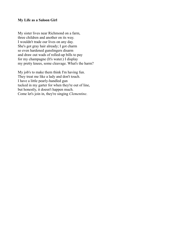#### **My Life as a Saloon Girl**

My sister lives near Richmond on a farm, three children and another on its way. I wouldn't trade our lives on any day. She's got gray hair already; I got charm so even hardened gunslingers disarm and draw out wads of rolled-up bills to pay for my champagne (It's water.) I display my pretty knees, some cleavage. What's the harm?

My job's to make them think I'm having fun. They treat me like a lady and don't touch. I have a little pearly-handled gun tucked in my garter for when they're out of line, but honestly, it doesn't happen much. Come let's join in, they're singing *Clementine*.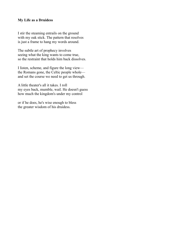# **My Life as a Druidess**

I stir the steaming entrails on the ground with my oak stick. The pattern that resolves is just a frame to hang my words around.

The subtle art of prophecy involves seeing what the king wants to come true, so the restraint that holds him back dissolves.

I listen, scheme, and figure the long view the Romans gone, the Celtic people whole and set the course we need to get us through.

A little theater's all it takes. I roll my eyes back, mumble, wail. He doesn't guess how much the kingdom's under my control

or if he does, he's wise enough to bless the greater wisdom of his druidess.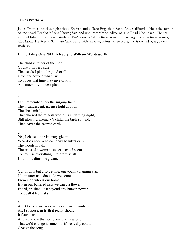#### **James Prothero**

James Prothero teaches high school English and college English in Santa Ana, California. He is the author of the novel *The Sun is But a Morning Star*, and until recently co-editor of The Road Not Taken. He has also published the scholarly studies, *Wordsworth and Welsh Romanticism* and *Gaining a Face: the Romanticism of C.S. Lewis*. He lives in San Juan Capistrano with his wife, paints watercolors, and is owned by a golden retriever.

# **Immortality Ode 2014: A Reply to William Wordsworth**

The child is father of the man Of that I'm very sure. That seeds I plant for good or ill Grow far beyond what I will To hopes that time may give or kill And mock my fondest plan.

1.

I still remember now the surging light, The incandescent, incense light at birth. The fires' mirth, That charred the rain-starved hills in flaming night, Still glowing, memory's child, the birth so wild, That leaves the scarred earth.

2.

Yes, I chased the visionary gleam Who does not? Who can deny beauty's call? The woods in fall, The arms of a woman, sweet scented seem To promise everything—to promise all Until time dims the gleam.

3.

Our birth is but a forgetting, our youth a flaming star. Not in utter nakedness do we come From God who is our home. But in our battered fists we carry a flower, Faded, crushed, lost beyond any human power To recall it from afar.

# 4.

And God knows, as do we, death sure haunts us As, I suppose, in truth it really should. It flaunts us And we know that somehow that is wrong, That we'd change it somehow if we really could Change the song.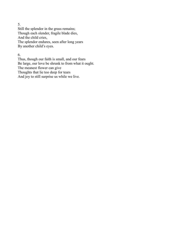5.

Still the splendor in the grass remains; Though each slender, fragile blade dies, And the child cries, The splendor endures, seen after long years By another child's eyes.

6.

Thus, though our faith is small, and our fears Be large, our love be shrunk to from what it ought. The meanest flower can give Thoughts that lie too deep for tears And joy to still surprise us while we live.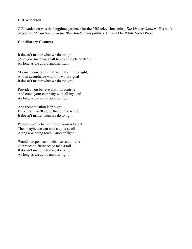#### **C.B. Anderson**

C.B. Anderson was the longtime gardener for the PBS television series, *The Victory Garden.* His book of poems, *Mortal Soup and the Blue Yonder,* was published in 2013 by White Violet Press.

#### **Conciliatory Gestures**

It doesn't matter what we do tonight (And you, my dear, shall have complete control) As long as we avoid another fight.

My main concern is that we make things right, And in accordance with this worthy goal It doesn't matter what we do tonight,

Provided you believe that I'm contrite And crave your company with all my soul. As long as we avoid another fight

And reconciliation is in sight I'm certain we'll agree that on the whole It doesn't matter what we do tonight.

Perhaps we'll chat, or if the moon is bright Then maybe we can take a quiet stroll Along a winding road. Another fight

Would hamper second chances and invite Our recent differences to take a toll. It doesn't matter what we do tonight As long as we avoid another fight.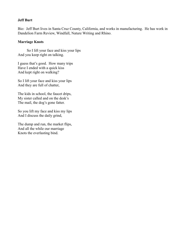#### **Jeff Burt**

Bio: Jeff Burt lives in Santa Cruz County, California, and works in manufacturing. He has work in Dandelion Farm Review, Windfall, Nature Writing and Rhino.

#### **Marriage Knots**

So I lift your face and kiss your lips And you keep right on talking.

I guess that's good. How many trips Have I ended with a quick kiss And kept right on walking?

So I lift your face and kiss your lips And they are full of chatter,

The kids in school, the faucet drips, My sister called and on the desk's The mail, the dog's gone fatter.

So you lift my face and kiss my lips And I discuss the daily grind,

The dump and run, the market flips, And all the while our marriage Knots the everlasting bind.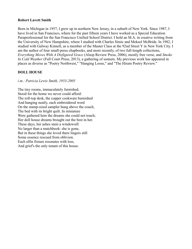#### **Robert Lavett Smith**

Born in Michigan in 1957, I grew up in northern New Jersey, in a suburb of New York. Since 1987, I have lived in San Francisco, where for the past fifteen years I have worked as a Special Education Paraprofessional for the San Francisco Unified School District. I hold an M.A. in creative writing from the University of New Hampshire, where I studied with Charles Simic and Mekeel McBride. In 1982, I studied with Galway Kinnell, as a member of the Master Class at the 92nd Street Y in New York City. I am the author of four small-press chapbooks, and more recently, of two full-length collections, *Everything Moves With A Disfigured Grace* (Alsop Review Press, 2006), mostly free verse, and *Smoke In Cold Weather* (Full Court Press, 2013), a gathering of sonnets. My previous work has appeared in places as diverse as "Poetry Northwest," "Hanging Loose," and "The Hiram Poetry Review."

# **DOLL HOUSE**

*i.m.: Patricia Lewis Smith, 1953-2005*

The tiny rooms, immaculately furnished, Stood for the home we never could afford: The roll-top desk, the copper cookware burnished And hanging neatly, each embroidered word On the stamp-sized sampler hung above the couch, The bed with its bright quilt. In miniature Were gathered here the dreams she could not touch; Her doll house dreams brought out the best in her. These days, her ashes stain a windowsill No larger than a matchbook: she is gone, But in these things she loved there lingers still Some essence rescued from oblivion. Each elfin fixture resonates with loss, And grief's the only tenant of this house.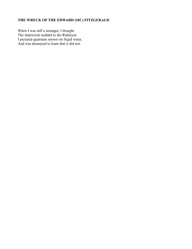# **THE WRECK OF THE EDWARD (SIC) FITZGERALD**

When I was still a teenager, I thought The shipwreck nodded to the Rubaiyat; I pictured quatrains strewn on frigid water, And was dismayed to learn that it did not.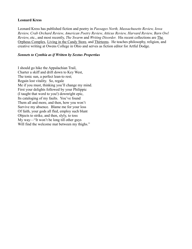#### **Leonard Kress**

Leonard Kress has published fiction and poetry in *Passages North, Massachusetts Review, Iowa Review, Crab Orchard Review, American Poetry Review, Atticus Review, Harvard Review, Barn Owl Review*, etc., and most recently, *The Swarm* and *Writing Disorder*. His recent collections are The Orpheus Complex, Living in the Candy Store, and Thirteens. He teaches philosophy, religion, and creative writing at Owens College in Ohio and serves as fiction editor for Artful Dodge.

#### *Sonnets to Cynthia as if Written by Sextus Propertius*

I should go hike the Appalachian Trail, Charter a skiff and drift down to Key West, The tonic sun, a perfect lean-to rest; Regain lost vitality. So, regale Me if you must, thinking you'll change my mind. First your delights followed by your Philippic (I taught that word to you!) downright epic, Its cataloging of my faults. You've found Them all and more, and then, how you won't Survive my absence. Blame me for your loss Of faith, your gods all fled, employ such blunt Objects to strike, and then, slyly, to toss My way—"It won't be long till other guys Will find the welcome mat between my thighs."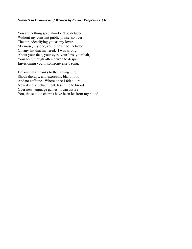#### *Sonnets to Cynthia as if Written by Sextus Propertius (3)*

You are nothing special—don't be deluded. Without my constant public praise, so over The top, identifying you as my lover, My muse, my one, you'd never be included On any list that mattered. I was wrong, About your face, your eyes, your lips, your hair, Your feet, though often driven to despair Envisioning you in someone else's song.

I'm over that thanks to the talking cure, Shock therapy, and exorcism, bland food And no caffeine. Where once I felt allure, Now it's disenchantment, less time to brood Over new language games. I can assure You, those toxic charms have been let from my blood.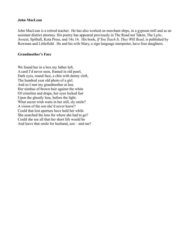#### **John MacLean**

John MacLean is a retired teacher. He has also worked on merchant ships, in a gypsum mill and as an assistant district attorney. His poetry has appeared previously in The Road not Taken, The Lyric, Avocet, Spitball, Kota Press, and 14x 14. His book, *If You Teach It, They Will Read*, is published by Rowman and Littlefield. He and his wife Mary, a sign language interpreter, have four daughters.

#### **Grandmother's Face**

We found her in a box my father left, A card I'd never seen, framed in old pearl, Dark eyes, round face, a chin with dainty cleft, The hundred year old photo of a girl. And so I met my grandmother at last, Her nimbus of brown hair against the white Of crinoline and drape, her eyes locked fast Upon the ghostly lens, before the light. What secret wish waits in her still, sly smile? A vision of the son she'd never know? Could that lost aperture have held her while She searched the lens for where she had to go? Could she see all that her short life would be And leave that smile for husband, son – and me?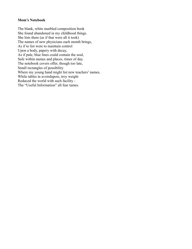#### **Mom's Notebook**

The blank, white marbled composition book She found abandoned in my childhood things. She lists there (as if that were all it took) The names of new physicians each month brings, As if to list were to maintain control Upon a body, papery with decay, As if pale, blue lines could contain the soul, Safe within names and places, times of day. The notebook covers offer, though too late, Small rectangles of possibility Where my young hand might list new teachers' names, While tables in avoirdupois, troy weight Reduced the world with such facility - The "Useful Information" all fear tames.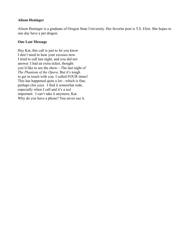# **Alison Heninger**

Alison Heninger is a graduate of Oregon State University. Her favorite poet is T.S. Eliot. She hopes to one day have a pet dragon.

#### **One Last Message**

Hey Kat, this call is just to let you know I don't need to hear your excuses now. I tried to call last night, and you did not answer. I had an extra ticket, thought you'd like to see the show—The last night of *The Phantom of the Opera*. But it's tough to get in touch with you. I called FOUR times! This has happened quite a lot—which is fine, perhaps (for you). I find it somewhat rude, especially when I call and it's a *tad* important. I can't take it anymore, Kat. Why do you have a phone? You never use it.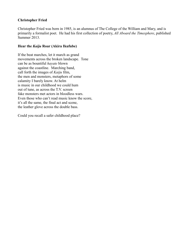# **Christopher Fried**

Christopher Fried was born in 1985, is an alumnus of The College of the William and Mary, and is primarily a formalist poet. He had his first collection of poetry, *All Aboard the Timesphere*, published Summer 2013.

# **Hear the** *Kaiju* **Roar (Akira Ikufube)**

If the beat marches, let it march as grand movements across the broken landscape. Tone can be as bountiful *hayate* blown against the coastline. Marching band, call forth the images of *Kaiju* film, the men and monsters, metaphors of some calamity I barely know. At helm is music in our childhood we could hum out of tune, as across the T.V. screen fake monsters met actors in bloodless wars. Even those who can't read music know the score, it's all the same, the final act and scene, the leather glove across the double bass.

Could you recall a safer childhood place?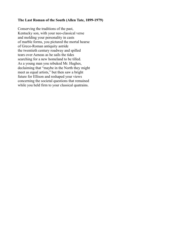#### **The Last Roman of the South (Allen Tate, 1899-1979)**

Conserving the traditions of the past, Kentucky son, with your neo-classical verse and molding your personality in casts of marble forms, you pictured the mortal hearse of Greco-Roman antiquity astride the twentieth century roadway and spilled tears over Aeneas as he sails the tides searching for a new homeland to be tilled. As a young man you rebuked Mr. Hughes, declaiming that "maybe in the North they might meet as equal artists," but then saw a bright future for Ellison and reshaped your views concerning the societal questions that remained while you held firm to your classical quatrains.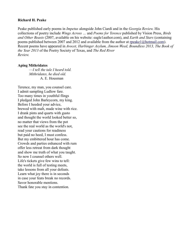#### **Richard H. Peake**

Peake published early poems in *Impetus* alongside John Ciardi and in the *Georgia Review.* His collections of poetry include *Wings Across …* and *Poems for Terence* published by Vision Press, *Birds and Other Beasts* (2007, available on his website: eagle1author.com), and *Earth and Stars* (containing poems published between 2007 and 2012 and available from the author at [rpeake1@hotmail.com\)](mailto:rpeake1@hotmail.com). Recent poems have appeared in *Avocet, Harbinger Asylum, Jimson Weed, Boundless 2013, The Book of the Year 2013* of the Poetry Society of Texas, and *The Red River Review.*

#### **Aping Mithridates**

 —*I tell the tale I heard told. Mithridates, he died old.* A. E. Housman

Terence, my man, you counsel care. I admit sampling Ludlow fare. Too many times in youthful flings I pledged John Barleycorn, my king. Before I heeded your advice, brewed with malt, made wine with rice. I drank pints and quarts with gusto and thought the world looked better so, no matter that views from the pot see the real world as the world's not, read your cautions for readiness but paid no heed, I must confess. But my embittered hour has come. Crowds and parties enhanced with rum offer less retreat from dark thought and show me truth of what you taught. So now I counsel others well. Life's tickets give few wins to tell: the world is full of testing meets, take lessons from all your defeats. Learn what joy there is in seconds in case your feats break no records. Savor honorable mentions. Thank fate you stay in contention.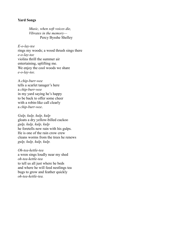#### **Yard Songs**

*Music, when soft voices die, Vibrates in the memory—* Percy Bysshe Shelley

*E-o-lay-tee* rings my woods; a wood thrush sings there *e-o-lay-tee* violins thrill the summer air entertaining, uplifting me. We enjoy the cool woods we share *e-o-lay-tee.*

A *chip-burr-wee* tells a scarlet tanager's here a *chip-burr-wee* in my yard saying he's happy to be back to offer some cheer with a robin-like call clearly a *chip-burr-wee*.

*Gulp, kulp, kulp, kulp* gloats a dry yellow-billed cuckoo *gulp, kulp, kulp, kulp* he foretells new rain with his gulps. He is one of the rain crow crew cleans worms from the trees he renews *gulp, kulp, kulp, kulp.*

*Oh-tea-kettle-tea* a wren sings loudly near my shed *oh-tea-kettle-tea* to tell us all just where he beds and where he will feed nestlings tea bugs to grow and feather quickly *oh-tea-kettle-tea.*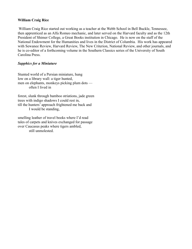#### **William Craig Rice**

William Craig Rice started out working as a teacher at the Webb School in Bell Buckle, Tennessee, then apprenticed as an Alfa Romeo mechanic, and later served on the Harvard faculty and as the 12th President of Shimer College, a Great Books institution in Chicago. He is now on the staff of the National Endowment for the Humanities and lives in the District of Columbia. His work has appeared with Sewanee Review, Harvard Review, The New Criterion, National Review, and other journals, and he is co-editor of a forthcoming volume in the Southern Classics series of the University of South Carolina Press.

# *Sapphics for a Miniature*

Stunted world of a Persian miniature, hung low on a library wall: a tiger hunted, men on elephants, monkeys picking plum dots often I lived in

forest, slunk through bamboo striations, jade green trees with indigo shadows I could rest in, till the hunters' approach frightened me back and I would be standing,

smelling leather of travel books where I'd read tales of carpets and knives exchanged for passage over Caucasus peaks where tigers ambled, still unmolested.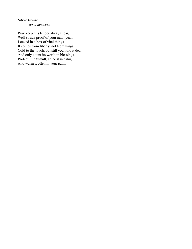# *Silver Dollar*

*for a newborn*

Pray keep this tender always near, Well-struck proof of your natal year, Locked in a box of vital things. It comes from liberty, not from kings: Cold to the touch, but still you hold it dear And only count its worth in blessings. Protect it in tumult, shine it in calm, And warm it often in your palm.